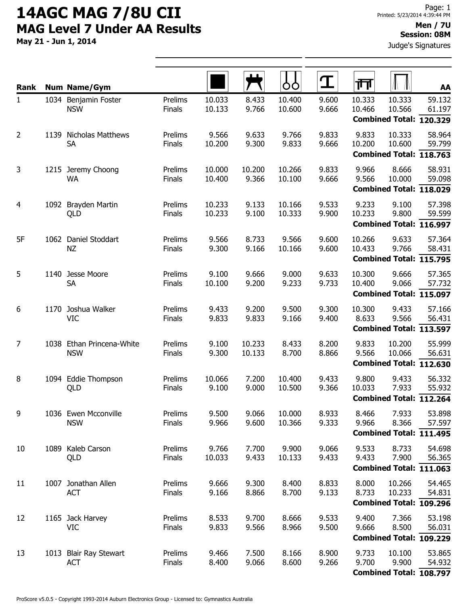May 21 - Jun 1, 2014

#### Men / 7U Session: 08M

Judge's Signatures

| Rank           |      | <b>Num Name/Gym</b>                     |                          |                  |                  | OO               | ${\bf T}$      | गा               |                                             | AA               |
|----------------|------|-----------------------------------------|--------------------------|------------------|------------------|------------------|----------------|------------------|---------------------------------------------|------------------|
| $\mathbf{1}$   |      | 1034 Benjamin Foster<br><b>NSW</b>      | Prelims<br>Finals        | 10.033<br>10.133 | 8.433<br>9.766   | 10.400<br>10.600 | 9.600<br>9.666 | 10.333<br>10.466 | 10.333<br>10.566<br>Combined Total: 120.329 | 59.132<br>61.197 |
| $\overline{2}$ |      | 1139 Nicholas Matthews<br><b>SA</b>     | Prelims<br>Finals        | 9.566<br>10.200  | 9.633<br>9.300   | 9.766<br>9.833   | 9.833<br>9.666 | 9.833<br>10.200  | 10.333<br>10.600<br>Combined Total: 118.763 | 58.964<br>59.799 |
| 3              | 1215 | Jeremy Choong<br><b>WA</b>              | Prelims<br>Finals        | 10.000<br>10.400 | 10.200<br>9.366  | 10.266<br>10.100 | 9.833<br>9.666 | 9.966<br>9.566   | 8.666<br>10.000<br>Combined Total: 118.029  | 58.931<br>59.098 |
| 4              |      | 1092 Brayden Martin<br>QLD              | Prelims<br>Finals        | 10.233<br>10.233 | 9.133<br>9.100   | 10.166<br>10.333 | 9.533<br>9.900 | 9.233<br>10.233  | 9.100<br>9.800<br>Combined Total: 116.997   | 57.398<br>59.599 |
| 5F             |      | 1062 Daniel Stoddart<br><b>NZ</b>       | Prelims<br>Finals        | 9.566<br>9.300   | 8.733<br>9.166   | 9.566<br>10.166  | 9.600<br>9.600 | 10.266<br>10.433 | 9.633<br>9.766<br>Combined Total: 115.795   | 57.364<br>58.431 |
| 5              |      | 1140 Jesse Moore<br><b>SA</b>           | Prelims<br>Finals        | 9.100<br>10.100  | 9.666<br>9.200   | 9.000<br>9.233   | 9.633<br>9.733 | 10.300<br>10.400 | 9.666<br>9.066<br>Combined Total: 115.097   | 57.365<br>57.732 |
| 6              |      | 1170 Joshua Walker<br><b>VIC</b>        | Prelims<br>Finals        | 9.433<br>9.833   | 9.200<br>9.833   | 9.500<br>9.166   | 9.300<br>9.400 | 10.300<br>8.633  | 9.433<br>9.566<br>Combined Total: 113.597   | 57.166<br>56.431 |
| $\overline{7}$ |      | 1038 Ethan Princena-White<br><b>NSW</b> | Prelims<br>Finals        | 9.100<br>9.300   | 10.233<br>10.133 | 8.433<br>8.700   | 8.200<br>8.866 | 9.833<br>9.566   | 10.200<br>10.066<br>Combined Total: 112.630 | 55.999<br>56.631 |
| 8              |      | 1094 Eddie Thompson<br>QLD              | Prelims<br><b>Finals</b> | 10.066<br>9.100  | 7.200<br>9.000   | 10.400<br>10.500 | 9.433<br>9.366 | 9.800<br>10.033  | 9.433<br>7.933<br>Combined Total: 112.264   | 56.332<br>55.932 |
| 9              |      | 1036 Ewen Mcconville<br><b>NSW</b>      | Prelims<br>Finals        | 9.500<br>9.966   | 9.066<br>9.600   | 10.000<br>10.366 | 8.933<br>9.333 | 8.466<br>9.966   | 7.933<br>8.366<br>Combined Total: 111.495   | 53.898<br>57.597 |
| 10             |      | 1089 Kaleb Carson<br>QLD                | Prelims<br>Finals        | 9.766<br>10.033  | 7.700<br>9.433   | 9.900<br>10.133  | 9.066<br>9.433 | 9.533<br>9.433   | 8.733<br>7.900<br>Combined Total: 111.063   | 54.698<br>56.365 |
| 11             |      | 1007 Jonathan Allen<br><b>ACT</b>       | Prelims<br>Finals        | 9.666<br>9.166   | 9.300<br>8.866   | 8.400<br>8.700   | 8.833<br>9.133 | 8.000<br>8.733   | 10.266<br>10.233<br>Combined Total: 109.296 | 54.465<br>54.831 |
| 12             |      | 1165 Jack Harvey<br><b>VIC</b>          | Prelims<br>Finals        | 8.533<br>9.833   | 9.700<br>9.566   | 8.666<br>8.966   | 9.533<br>9.500 | 9.400<br>9.666   | 7.366<br>8.500<br>Combined Total: 109.229   | 53.198<br>56.031 |
| 13             |      | 1013 Blair Ray Stewart<br><b>ACT</b>    | Prelims<br>Finals        | 9.466<br>8.400   | 7.500<br>9.066   | 8.166<br>8.600   | 8.900<br>9.266 | 9.733<br>9.700   | 10.100<br>9.900<br>Combined Total: 108.797  | 53.865<br>54.932 |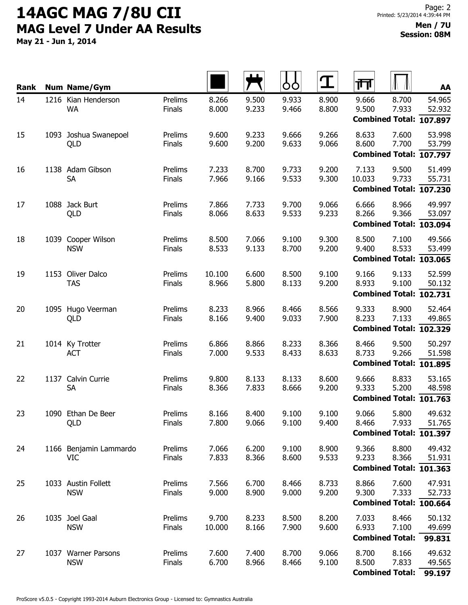May 21 - Jun 1, 2014

| Rank | <b>Num Name/Gym</b>                  |                          |                 |                | ÓÒ             | $\mathbf T$    | 帀                                         |                | AA                                          |
|------|--------------------------------------|--------------------------|-----------------|----------------|----------------|----------------|-------------------------------------------|----------------|---------------------------------------------|
| 14   | 1216 Kian Henderson<br><b>WA</b>     | Prelims<br>Finals        | 8.266<br>8.000  | 9.500<br>9.233 | 9.933<br>9.466 | 8.900<br>8.800 | 9.666<br>9.500                            | 8.700<br>7.933 | 54.965<br>52.932<br>Combined Total: 107.897 |
| 15   | 1093 Joshua Swanepoel<br>QLD         | Prelims<br>Finals        | 9.600<br>9.600  | 9.233<br>9.200 | 9.666<br>9.633 | 9.266<br>9.066 | 8.633<br>8.600<br>Combined Total: 107.797 | 7.600<br>7.700 | 53.998<br>53.799                            |
| 16   | 1138 Adam Gibson<br><b>SA</b>        | Prelims<br><b>Finals</b> | 7.233<br>7.966  | 8.700<br>9.166 | 9.733<br>9.533 | 9.200<br>9.300 | 7.133<br>10.033                           | 9.500<br>9.733 | 51.499<br>55.731<br>Combined Total: 107.230 |
| 17   | 1088 Jack Burt<br>QLD                | Prelims<br>Finals        | 7.866<br>8.066  | 7.733<br>8.633 | 9.700<br>9.533 | 9.066<br>9.233 | 6.666<br>8.266                            | 8.966<br>9.366 | 49.997<br>53.097<br>Combined Total: 103.094 |
| 18   | 1039 Cooper Wilson<br><b>NSW</b>     | Prelims<br>Finals        | 8.500<br>8.533  | 7.066<br>9.133 | 9.100<br>8.700 | 9.300<br>9.200 | 8.500<br>9.400<br>Combined Total: 103.065 | 7.100<br>8.533 | 49.566<br>53.499                            |
| 19   | 1153 Oliver Dalco<br><b>TAS</b>      | Prelims<br>Finals        | 10.100<br>8.966 | 6.600<br>5.800 | 8.500<br>8.133 | 9.100<br>9.200 | 9.166<br>8.933                            | 9.133<br>9.100 | 52.599<br>50.132<br>Combined Total: 102.731 |
| 20   | 1095 Hugo Veerman<br>QLD             | Prelims<br>Finals        | 8.233<br>8.166  | 8.966<br>9.400 | 8.466<br>9.033 | 8.566<br>7.900 | 9.333<br>8.233<br>Combined Total: 102.329 | 8.900<br>7.133 | 52.464<br>49.865                            |
| 21   | 1014 Ky Trotter<br><b>ACT</b>        | Prelims<br>Finals        | 6.866<br>7.000  | 8.866<br>9.533 | 8.233<br>8.433 | 8.366<br>8.633 | 8.466<br>8.733<br>Combined Total: 101.895 | 9.500<br>9.266 | 50.297<br>51.598                            |
| 22   | 1137 Calvin Currie<br><b>SA</b>      | Prelims<br>Finals        | 9.800<br>8.366  | 8.133<br>7.833 | 8.133<br>8.666 | 8.600<br>9.200 | 9.666<br>9.333<br>Combined Total: 101.763 | 8.833<br>5.200 | 53.165<br>48.598                            |
| 23   | 1090 Ethan De Beer<br>QLD            | Prelims<br>Finals        | 8.166<br>7.800  | 8.400<br>9.066 | 9.100<br>9.100 | 9.100<br>9.400 | 9.066<br>8.466                            | 5.800<br>7.933 | 49.632<br>51.765<br>Combined Total: 101.397 |
| 24   | 1166 Benjamin Lammardo<br><b>VIC</b> | Prelims<br>Finals        | 7.066<br>7.833  | 6.200<br>8.366 | 9.100<br>8.600 | 8.900<br>9.533 | 9.366<br>9.233                            | 8.800<br>8.366 | 49.432<br>51.931<br>Combined Total: 101.363 |
| 25   | 1033 Austin Follett<br><b>NSW</b>    | Prelims<br>Finals        | 7.566<br>9.000  | 6.700<br>8.900 | 8.466<br>9.000 | 8.733<br>9.200 | 8.866<br>9.300                            | 7.600<br>7.333 | 47.931<br>52.733<br>Combined Total: 100.664 |
| 26   | 1035 Joel Gaal<br><b>NSW</b>         | Prelims<br>Finals        | 9.700<br>10.000 | 8.233<br>8.166 | 8.500<br>7.900 | 8.200<br>9.600 | 7.033<br>6.933<br><b>Combined Total:</b>  | 8.466<br>7.100 | 50.132<br>49.699<br>99.831                  |
| 27   | 1037 Warner Parsons<br><b>NSW</b>    | Prelims<br><b>Finals</b> | 7.600<br>6.700  | 7.400<br>8.966 | 8.700<br>8.466 | 9.066<br>9.100 | 8.700<br>8.500<br><b>Combined Total:</b>  | 8.166<br>7.833 | 49.632<br>49.565<br>99.197                  |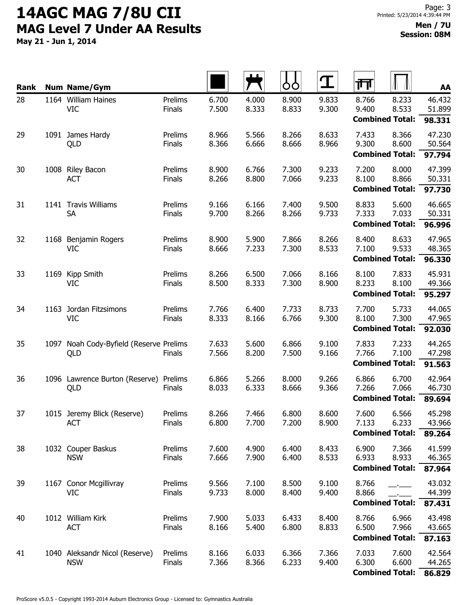May 21 - Jun 1, 2014

| Rank |      | <b>Num Name/Gym</b>                       |                   |                |                | OO             | ${\bf T}$      | 帀                               |                | AA               |
|------|------|-------------------------------------------|-------------------|----------------|----------------|----------------|----------------|---------------------------------|----------------|------------------|
| 28   |      | 1164 William Haines                       | Prelims           | 6.700          | 4.000          | 8.900          | 9.833          | 8.766<br>9.400                  | 8.233          | 46.432           |
|      |      | <b>VIC</b>                                | Finals            | 7.500          | 8.333          | 8.833          | 9.300          | <b>Combined Total:</b>          | 8.533          | 51.899<br>98.331 |
| 29   | 1091 | James Hardy                               | Prelims           | 8.966          | 5.566          | 8.266          | 8.633          | 7.433                           | 8.366          | 47.230           |
|      |      | QLD                                       | <b>Finals</b>     | 8.366          | 6.666          | 8.666          | 8.966          | 9.300                           | 8.600          | 50.564           |
|      |      |                                           |                   |                |                |                |                | <b>Combined Total:</b>          |                | 97.794           |
| 30   |      | 1008 Riley Bacon<br><b>ACT</b>            | Prelims<br>Finals | 8.900<br>8.266 | 6.766<br>8.800 | 7.300<br>7.066 | 9.233<br>9.233 | 7.200<br>8.100                  | 8.000<br>8.866 | 47.399<br>50.331 |
|      |      |                                           |                   |                |                |                |                | <b>Combined Total:</b>          |                | 97.730           |
| 31   |      | 1141 Travis Williams                      | Prelims           | 9.166          | 6.166          | 7.400          | 9.500          | 8.833                           | 5.600          | 46.665           |
|      |      | <b>SA</b>                                 | Finals            | 9.700          | 8.266          | 8.266          | 9.733          | 7.333                           | 7.033          | 50.331           |
|      |      |                                           |                   |                |                |                |                | <b>Combined Total:</b>          |                | 96.996           |
| 32   | 1168 | Benjamin Rogers                           | Prelims           | 8.900          | 5.900          | 7.866          | 8.266          | 8.400                           | 8.633          | 47.965           |
|      |      | <b>VIC</b>                                | Finals            | 8.666          | 7.233          | 7.300          | 8.533          | 7.100<br><b>Combined Total:</b> | 9.533          | 48.365<br>96.330 |
| 33   | 1169 | Kipp Smith                                | Prelims           | 8.266          | 6.500          | 7.066          | 8.166          | 8.100                           | 7.833          | 45.931           |
|      |      | <b>VIC</b>                                | Finals            | 8.500          | 8.333          | 7.300          | 8.900          | 8.233                           | 8.100          | 49.366           |
|      |      |                                           |                   |                |                |                |                | <b>Combined Total:</b>          |                | 95.297           |
| 34   |      | 1163 Jordan Fitzsimons                    | Prelims           | 7.766          | 6.400          | 7.733          | 8.733          | 7.700                           | 5.733          | 44.065           |
|      |      | <b>VIC</b>                                | Finals            | 8.333          | 8.166          | 6.766          | 9.300          | 8.100                           | 7.300          | 47.965           |
|      |      |                                           |                   |                |                |                |                | <b>Combined Total:</b>          |                | 92.030           |
| 35   | 1097 | Noah Cody-Byfield (Reserve Prelims<br>QLD | <b>Finals</b>     | 7.633<br>7.566 | 5.600<br>8.200 | 6.866<br>7.500 | 9.100<br>9.166 | 7.833<br>7.766                  | 7.233<br>7.100 | 44.265<br>47.298 |
|      |      |                                           |                   |                |                |                |                | <b>Combined Total:</b>          |                | 91.563           |
| 36   |      | 1096 Lawrence Burton (Reserve) Prelims    |                   | 6.866          | 5.266          | 8.000          | 9.266          | 6.866                           | 6.700          | 42.964           |
|      |      | QLD                                       | Finals            | 8.033          | 6.333          | 8.666          | 9.366          | 7.266                           | 7.066          | 46.730           |
|      |      |                                           |                   |                |                |                |                | <b>Combined Total:</b>          |                | 89.694           |
| 37   |      | 1015 Jeremy Blick (Reserve)<br><b>ACT</b> | Prelims<br>Finals | 8.266<br>6.800 | 7.466<br>7.700 | 6.800<br>7.200 | 8.600<br>8.900 | 7.600<br>7.133                  | 6.566<br>6.233 | 45.298<br>43.966 |
|      |      |                                           |                   |                |                |                |                | <b>Combined Total:</b>          |                | 89.264           |
| 38   |      | 1032 Couper Baskus                        | Prelims           | 7.600          | 4.900          | 6.400          | 8.433          | 6.900                           | 7.366          | 41.599           |
|      |      | <b>NSW</b>                                | <b>Finals</b>     | 7.666          | 7.900          | 6.400          | 8.533          | 6.933                           | 8.933          | 46.365           |
|      |      |                                           |                   |                |                |                |                | <b>Combined Total:</b>          |                | 87.964           |
| 39   |      | 1167 Conor Mcgillivray                    | Prelims           | 9.566<br>9.733 | 7.100<br>8.000 | 8.500<br>8.400 | 9.100          | 8.766<br>8.866                  |                | 43.032           |
|      |      | <b>VIC</b>                                | Finals            |                |                |                | 9.400          | <b>Combined Total:</b>          |                | 44.399<br>87.431 |
| 40   |      | 1012 William Kirk                         | Prelims           | 7.900          | 5.033          | 6.433          | 8.400          | 8.766                           | 6.966          | 43.498           |
|      |      | <b>ACT</b>                                | Finals            | 8.166          | 5.400          | 6.800          | 8.833          | 6.500                           | 7.966          | 43.665           |
|      |      |                                           |                   |                |                |                |                | <b>Combined Total:</b>          |                | 87.163           |
| 41   |      | 1040 Aleksandr Nicol (Reserve)            | Prelims           | 8.166          | 6.033          | 6.366          | 7.366          | 7.033                           | 7.600          | 42.564           |
|      |      | <b>NSW</b>                                | Finals            | 7.366          | 8.366          | 6.233          | 9.400          | 6.300<br><b>Combined Total:</b> | 6.600          | 44.265<br>86.829 |